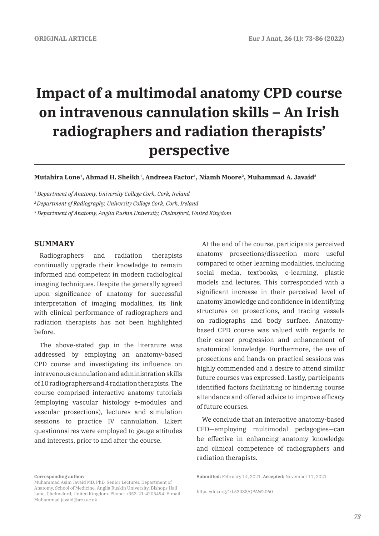# **Impact of a multimodal anatomy CPD course on intravenous cannulation skills – An Irish radiographers and radiation therapists' perspective**

**Mutahira Lone1, Ahmad H. Sheikh1, Andreea Factor1, Niamh Moore2, Muhammad A. Javaid3**

*1 Department of Anatomy, University College Cork, Cork, Ireland*

*2 Department of Radiography, University College Cork, Cork, Ireland*

*3 Department of Anatomy, Anglia Ruskin University, Chelmsford, United Kingdom*

# **SUMMARY**

Radiographers and radiation therapists continually upgrade their knowledge to remain informed and competent in modern radiological imaging techniques. Despite the generally agreed upon significance of anatomy for successful interpretation of imaging modalities, its link with clinical performance of radiographers and radiation therapists has not been highlighted before.

The above-stated gap in the literature was addressed by employing an anatomy-based CPD course and investigating its influence on intravenous cannulation and administration skills of 10 radiographers and 4 radiation therapists. The course comprised interactive anatomy tutorials (employing vascular histology e-modules and vascular prosections), lectures and simulation sessions to practice IV cannulation. Likert questionnaires were employed to gauge attitudes and interests, prior to and after the course.

At the end of the course, participants perceived anatomy prosections/dissection more useful compared to other learning modalities, including social media, textbooks, e-learning, plastic models and lectures. This corresponded with a significant increase in their perceived level of anatomy knowledge and confidence in identifying structures on prosections, and tracing vessels on radiographs and body surface. Anatomybased CPD course was valued with regards to their career progression and enhancement of anatomical knowledge. Furthermore, the use of prosections and hands-on practical sessions was highly commended and a desire to attend similar future courses was expressed. Lastly, participants identified factors facilitating or hindering course attendance and offered advice to improve efficacy of future courses.

We conclude that an interactive anatomy-based CPD—employing multimodal pedagogies—can be effective in enhancing anatomy knowledge and clinical competence of radiographers and radiation therapists.

**Corresponding author:** 

Muhammad Asim Javaid MD, PhD, Senior Lecturer. Department of Anatomy, School of Medicine, Anglia Ruskin University, Bishops Hall Lane, Chelmsford, United Kingdom. Phone: +353-21-4205494. E-mail: Muhammad.javaid@aru.ac.uk

**Submitted:** February 14, 2021. **Accepted:** November 17, 2021

https://doi.org/10.52083/QPAW2060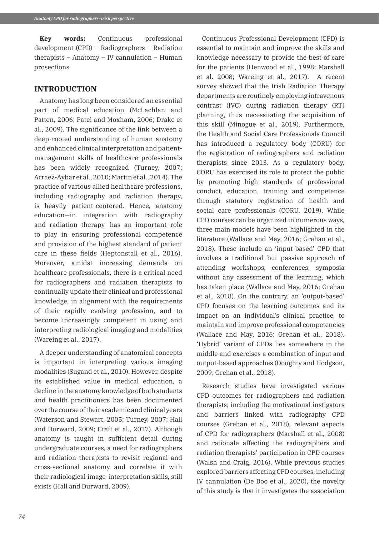**Key words:** Continuous professional development (CPD) – Radiographers – Radiation therapists – Anatomy – IV cannulation – Human prosections

# **INTRODUCTION**

Anatomy has long been considered an essential part of medical education (McLachlan and Patten, 2006; Patel and Moxham, 2006; Drake et al., 2009). The significance of the link between a deep-rooted understanding of human anatomy and enhanced clinical interpretation and patientmanagement skills of healthcare professionals has been widely recognized (Turney, 2007; Arraez-Aybar et al., 2010; Martin et al., 2014). The practice of various allied healthcare professions, including radiography and radiation therapy, is heavily patient-centered. Hence, anatomy education—in integration with radiography and radiation therapy—has an important role to play in ensuring professional competence and provision of the highest standard of patient care in these fields (Heptonstall et al., 2016). Moreover, amidst increasing demands on healthcare professionals, there is a critical need for radiographers and radiation therapists to continually update their clinical and professional knowledge, in alignment with the requirements of their rapidly evolving profession, and to become increasingly competent in using and interpreting radiological imaging and modalities (Wareing et al., 2017).

A deeper understanding of anatomical concepts is important in interpreting various imaging modalities (Sugand et al., 2010). However, despite its established value in medical education, a decline in the anatomy knowledge of both students and health practitioners has been documented over the course of their academic and clinical years (Waterson and Stewart, 2005; Turney, 2007; Hall and Durward, 2009; Craft et al., 2017). Although anatomy is taught in sufficient detail during undergraduate courses, a need for radiographers and radiation therapists to revisit regional and cross-sectional anatomy and correlate it with their radiological image-interpretation skills, still exists (Hall and Durward, 2009).

Continuous Professional Development (CPD) is essential to maintain and improve the skills and knowledge necessary to provide the best of care for the patients (Henwood et al., 1998; Marshall et al. 2008; Wareing et al., 2017). A recent survey showed that the Irish Radiation Therapy departments are routinely employing intravenous contrast (IVC) during radiation therapy (RT) planning, thus necessitating the acquisition of this skill (Minogue et al., 2019). Furthermore, the Health and Social Care Professionals Council has introduced a regulatory body (CORU) for the registration of radiographers and radiation therapists since 2013. As a regulatory body, CORU has exercised its role to protect the public by promoting high standards of professional conduct, education, training and competence through statutory registration of health and social care professionals (CORU, 2019). While CPD courses can be organized in numerous ways, three main models have been highlighted in the literature (Wallace and May, 2016; Grehan et al., 2018). These include an 'input-based' CPD that involves a traditional but passive approach of attending workshops, conferences, symposia without any assessment of the learning, which has taken place (Wallace and May, 2016; Grehan et al., 2018). On the contrary, an 'output-based' CPD focuses on the learning outcomes and its impact on an individual's clinical practice, to maintain and improve professional competencies (Wallace and May, 2016; Grehan et al., 2018). 'Hybrid' variant of CPDs lies somewhere in the middle and exercises a combination of input and output-based approaches (Doughty and Hodgson, 2009; Grehan et al., 2018)*.*

Research studies have investigated various CPD outcomes for radiographers and radiation therapists; including the motivational instigators and barriers linked with radiography CPD courses (Grehan et al., 2018), relevant aspects of CPD for radiographers (Marshall et al., 2008) and rationale affecting the radiographers and radiation therapists' participation in CPD courses (Walsh and Craig, 2016). While previous studies explored barriers affecting CPD courses, including IV cannulation (De Boo et al., 2020), the novelty of this study is that it investigates the association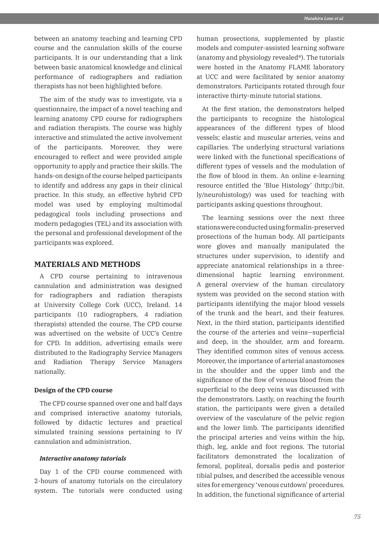between an anatomy teaching and learning CPD course and the cannulation skills of the course participants. It is our understanding that a link between basic anatomical knowledge and clinical performance of radiographers and radiation therapists has not been highlighted before.

The aim of the study was to investigate, via a questionnaire, the impact of a novel teaching and learning anatomy CPD course for radiographers and radiation therapists. The course was highly interactive and stimulated the active involvement of the participants. Moreover, they were encouraged to reflect and were provided ample opportunity to apply and practice their skills. The hands-on design of the course helped participants to identify and address any gaps in their clinical practice. In this study, an effective hybrid CPD model was used by employing multimodal pedagogical tools including prosections and modern pedagogies (TEL) and its association with the personal and professional development of the participants was explored.

# **MATERIALS AND METHODS**

A CPD course pertaining to intravenous cannulation and administration was designed for radiographers and radiation therapists at University College Cork (UCC), Ireland. 14 participants (10 radiographers, 4 radiation therapists) attended the course. The CPD course was advertised on the website of UCC's Centre for CPD. In addition, advertising emails were distributed to the Radiography Service Managers and Radiation Therapy Service Managers nationally.

#### **Design of the CPD course**

The CPD course spanned over one and half days and comprised interactive anatomy tutorials, followed by didactic lectures and practical simulated training sessions pertaining to IV cannulation and administration.

#### *Interactive anatomy tutorials*

Day 1 of the CPD course commenced with 2-hours of anatomy tutorials on the circulatory system. The tutorials were conducted using

human prosections, supplemented by plastic models and computer-assisted learning software (anatomy and physiology revealed®). The tutorials were hosted in the Anatomy FLAME laboratory at UCC and were facilitated by senior anatomy demonstrators. Participants rotated through four interactive thirty-minute tutorial stations.

At the first station, the demonstrators helped the participants to recognize the histological appearances of the different types of blood vessels; elastic and muscular arteries, veins and capillaries. The underlying structural variations were linked with the functional specifications of different types of vessels and the modulation of the flow of blood in them. An online e-learning resource entitled the 'Blue Histology' (http://bit. ly/neurohistology) was used for teaching with participants asking questions throughout.

The learning sessions over the next three stations were conducted using formalin-preserved prosections of the human body. All participants wore gloves and manually manipulated the structures under supervision, to identify and appreciate anatomical relationships in a threedimensional haptic learning environment. A general overview of the human circulatory system was provided on the second station with participants identifying the major blood vessels of the trunk and the heart, and their features. Next, in the third station, participants identified the course of the arteries and veins—superficial and deep, in the shoulder, arm and forearm. They identified common sites of venous access. Moreover, the importance of arterial anastomoses in the shoulder and the upper limb and the significance of the flow of venous blood from the superficial to the deep veins was discussed with the demonstrators. Lastly, on reaching the fourth station, the participants were given a detailed overview of the vasculature of the pelvic region and the lower limb. The participants identified the principal arteries and veins within the hip, thigh, leg, ankle and foot regions. The tutorial facilitators demonstrated the localization of femoral, popliteal, dorsalis pedis and posterior tibial pulses, and described the accessible venous sites for emergency 'venous cutdown' procedures. In addition, the functional significance of arterial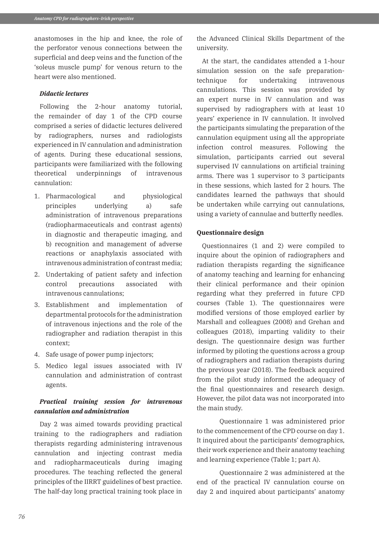anastomoses in the hip and knee, the role of the perforator venous connections between the superficial and deep veins and the function of the 'soleus muscle pump' for venous return to the heart were also mentioned.

#### *Didactic lectures*

Following the 2-hour anatomy tutorial, the remainder of day 1 of the CPD course comprised a series of didactic lectures delivered by radiographers, nurses and radiologists experienced in IV cannulation and administration of agents. During these educational sessions, participants were familiarized with the following theoretical underpinnings of intravenous cannulation:

- 1. Pharmacological and physiological principles underlying a) safe administration of intravenous preparations (radiopharmaceuticals and contrast agents) in diagnostic and therapeutic imaging, and b) recognition and management of adverse reactions or anaphylaxis associated with intravenous administration of contrast media;
- 2. Undertaking of patient safety and infection control precautions associated with intravenous cannulations;
- 3. Establishment and implementation of departmental protocols for the administration of intravenous injections and the role of the radiographer and radiation therapist in this context;
- 4. Safe usage of power pump injectors;
- 5. Medico legal issues associated with IV cannulation and administration of contrast agents.

# *Practical training session for intravenous cannulation and administration*

Day 2 was aimed towards providing practical training to the radiographers and radiation therapists regarding administering intravenous cannulation and injecting contrast media and radiopharmaceuticals during imaging procedures. The teaching reflected the general principles of the IIRRT guidelines of best practice. The half-day long practical training took place in

the Advanced Clinical Skills Department of the university.

At the start, the candidates attended a 1-hour simulation session on the safe preparationtechnique for undertaking intravenous cannulations. This session was provided by an expert nurse in IV cannulation and was supervised by radiographers with at least 10 years' experience in IV cannulation. It involved the participants simulating the preparation of the cannulation equipment using all the appropriate infection control measures. Following the simulation, participants carried out several supervised IV cannulations on artificial training arms. There was 1 supervisor to 3 participants in these sessions, which lasted for 2 hours. The candidates learned the pathways that should be undertaken while carrying out cannulations, using a variety of cannulae and butterfly needles.

#### **Questionnaire design**

Questionnaires (1 and 2) were compiled to inquire about the opinion of radiographers and radiation therapists regarding the significance of anatomy teaching and learning for enhancing their clinical performance and their opinion regarding what they preferred in future CPD courses (Table 1). The questionnaires were modified versions of those employed earlier by Marshall and colleagues (2008) and Grehan and colleagues (2018), imparting validity to their design. The questionnaire design was further informed by piloting the questions across a group of radiographers and radiation therapists during the previous year (2018). The feedback acquired from the pilot study informed the adequacy of the final questionnaires and research design. However, the pilot data was not incorporated into the main study.

Questionnaire 1 was administered prior to the commencement of the CPD course on day 1. It inquired about the participants' demographics, their work experience and their anatomy teaching and learning experience (Table 1; part A).

Questionnaire 2 was administered at the end of the practical IV cannulation course on day 2 and inquired about participants' anatomy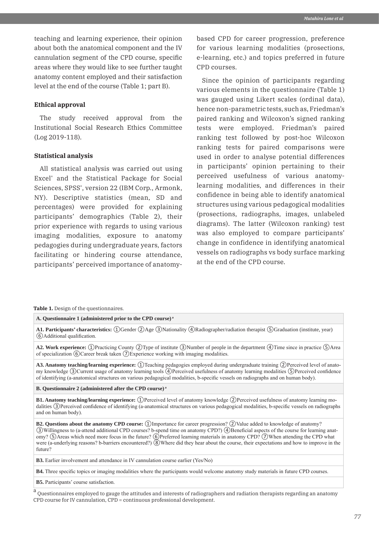teaching and learning experience, their opinion about both the anatomical component and the IV cannulation segment of the CPD course, specific areas where they would like to see further taught anatomy content employed and their satisfaction level at the end of the course (Table 1; part B).

#### **Ethical approval**

The study received approval from the Institutional Social Research Ethics Committee (Log 2019-118).

#### **Statistical analysis**

All statistical analysis was carried out using Excel® and the Statistical Package for Social Sciences, SPSS® , version 22 (IBM Corp., Armonk, NY). Descriptive statistics (mean, SD and percentages) were provided for explaining participants' demographics (Table 2), their prior experience with regards to using various imaging modalities, exposure to anatomy pedagogies during undergraduate years, factors facilitating or hindering course attendance, participants' perceived importance of anatomybased CPD for career progression, preference for various learning modalities (prosections, e-learning, etc.) and topics preferred in future CPD courses.

Since the opinion of participants regarding various elements in the questionnaire (Table 1) was gauged using Likert scales (ordinal data), hence non-parametric tests, such as, Friedman's paired ranking and Wilcoxon's signed ranking tests were employed. Friedman's paired ranking test followed by post-hoc Wilcoxon ranking tests for paired comparisons were used in order to analyse potential differences in participants' opinion pertaining to their perceived usefulness of various anatomylearning modalities, and differences in their confidence in being able to identify anatomical structures using various pedagogical modalities (prosections, radiographs, images, unlabeled diagrams). The latter (Wilcoxon ranking) test was also employed to compare participants' change in confidence in identifying anatomical vessels on radiographs vs body surface marking at the end of the CPD course.

**Table 1.** Design of the questionnaires.

#### **A. Questionnaire 1 (administered prior to the CPD course) a**

**A1. Participants' characteristics:** ①Gender ②Age ③Nationality ④Radiographer/radiation therapist ⑤Graduation (institute, year) ⑥Additional qualification.

**A2. Work experience:** ①Practicing County ②Type of institute ③Number of people in the department ④Time since in practice ⑤Area of specialization ⑥Career break taken ⑦Experience working with imaging modalities.

**A3. Anatomy teaching/learning experience:** ①Teaching pedagogies employed during undergraduate training ②Perceived level of anatomy knowledge ③Current usage of anatomy learning tools ④Perceived usefulness of anatomy learning modalities ⑤Perceived confidence of identifying (a-anatomical structures on various pedagogical modalities, b-specific vessels on radiographs and on human body).

**B. Questionnaire 2 (administered after the CPD course) a**

**B1. Anatomy teaching/learning experience:** ①Perceived level of anatomy knowledge ②Perceived usefulness of anatomy learning modalities ③Perceived confidence of identifying (a-anatomical structures on various pedagogical modalities, b-specific vessels on radiographs and on human body).

**B2. Questions about the anatomy CPD course:** ①Importance for career progression? ②Value added to knowledge of anatomy? ③Willingness to (a-attend additional CPD courses? b-spend time on anatomy CPD?) ④Beneficial aspects of the course for learning anatomy? **SAreas which need more focus in the future? ⑥Preferred learning materials in anatomy CPD?** ⑦When attending the CPD what were (a-underlying reasons? b-barriers encountered?)  $\circled{8}$  Where did they hear about the course, their expectations and how to improve in the future?

**B3.** Earlier involvement and attendance in IV cannulation course earlier (Yes/No)

**B4.** Three specific topics or imaging modalities where the participants would welcome anatomy study materials in future CPD courses.

**B5.** Participants' course satisfaction.

a<br>Questionnaires employed to gauge the attitudes and interests of radiographers and radiation therapists regarding an anatomy CPD course for IV cannulation, CPD = continuous professional development.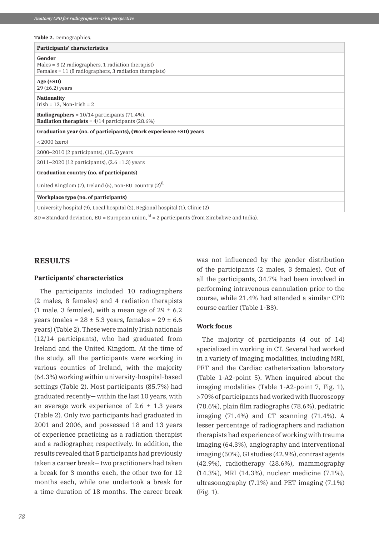#### **Table 2.** Demographics.

| Participants' characteristics                                                                                                        |
|--------------------------------------------------------------------------------------------------------------------------------------|
| Gender<br>Males $= 3(2 \text{ radiographs}, 1 \text{ radiation therapy}$<br>Females $= 11$ (8 radiographers, 3 radiation therapists) |
| Age $(\pm SD)$<br>$29 \, (\pm 6.2)$ years                                                                                            |
| <b>Nationality</b><br>$Irish = 12$ , Non- $Irish = 2$                                                                                |
| <b>Radiographers</b> = $10/14$ participants (71.4%),<br><b>Radiation therapists</b> = $4/14$ participants (28.6%)                    |
| Graduation year (no. of participants), (Work experience ±SD) years                                                                   |
| $<$ 2000 (zero)                                                                                                                      |
| $2000 - 2010$ (2 participants), $(15.5)$ years                                                                                       |
| 2011–2020 (12 participants), $(2.6 \pm 1.3)$ years                                                                                   |
| Graduation country (no. of participants)                                                                                             |
| United Kingdom $(7)$ , Ireland $(5)$ , non-EU country $(2)^d$                                                                        |
| Workplace type (no. of participants)                                                                                                 |
| University hospital (9), Local hospital (2), Regional hospital (1), Clinic (2)                                                       |

SD = Standard deviation, EU = European union,  $^{\text{a}}$  = 2 participants (from Zimbabwe and India).

#### **RESULTS**

#### **Participants' characteristics**

The participants included 10 radiographers (2 males, 8 females) and 4 radiation therapists (1 male, 3 females), with a mean age of  $29 \pm 6.2$ years (males =  $28 \pm 5.3$  years, females =  $29 \pm 6.6$ years) (Table 2). These were mainly Irish nationals (12/14 participants), who had graduated from Ireland and the United Kingdom. At the time of the study, all the participants were working in various counties of Ireland, with the majority (64.3%) working within university-hospital-based settings (Table 2). Most participants (85.7%) had graduated recently— within the last 10 years, with an average work experience of  $2.6 \pm 1.3$  years (Table 2). Only two participants had graduated in 2001 and 2006, and possessed 18 and 13 years of experience practicing as a radiation therapist and a radiographer, respectively. In addition, the results revealed that 5 participants had previously taken a career break— two practitioners had taken a break for 3 months each, the other two for 12 months each, while one undertook a break for a time duration of 18 months. The career break was not influenced by the gender distribution of the participants (2 males, 3 females). Out of all the participants, 34.7% had been involved in performing intravenous cannulation prior to the course, while 21.4% had attended a similar CPD course earlier (Table 1-B3).

#### **Work focus**

The majority of participants (4 out of 14) specialized in working in CT. Several had worked in a variety of imaging modalities, including MRI, PET and the Cardiac catheterization laboratory (Table 1-A2-point 5). When inquired about the imaging modalities (Table 1-A2-point 7, Fig. 1), >70% of participants had worked with fluoroscopy (78.6%), plain film radiographs (78.6%), pediatric imaging (71.4%) and CT scanning (71.4%). A lesser percentage of radiographers and radiation therapists had experience of working with trauma imaging (64.3%), angiography and interventional imaging (50%), GI studies (42.9%), contrast agents (42.9%), radiotherapy (28.6%), mammography (14.3%), MRI (14.3%), nuclear medicine (7.1%), ultrasonography (7.1%) and PET imaging (7.1%) (Fig. 1).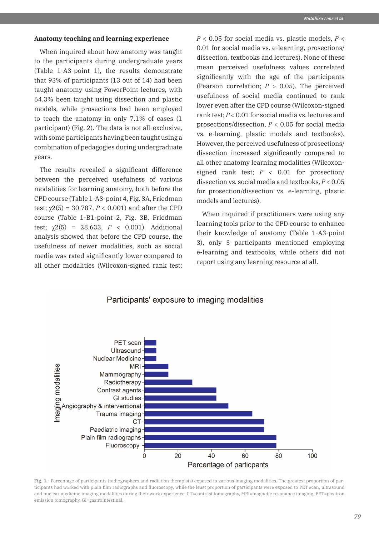#### **Anatomy teaching and learning experience**

When inquired about how anatomy was taught to the participants during undergraduate years (Table 1-A3-point 1), the results demonstrate that 93% of participants (13 out of 14) had been taught anatomy using PowerPoint lectures, with 64.3% been taught using dissection and plastic models, while prosections had been employed to teach the anatomy in only 7.1% of cases (1 participant) (Fig. 2). The data is not all-exclusive, with some participants having been taught using a combination of pedagogies during undergraduate years.

The results revealed a significant difference between the perceived usefulness of various modalities for learning anatomy, both before the CPD course (Table 1-A3-point 4, Fig. 3A, Friedman test;  $χ2(5) = 30.787, P < 0.001$ ) and after the CPD course (Table 1-B1-point 2, Fig. 3B, Friedman test;  $\gamma$ 2(5) = 28.633, *P* < 0.001). Additional analysis showed that before the CPD course, the usefulness of newer modalities, such as social media was rated significantly lower compared to all other modalities (Wilcoxon-signed rank test; *P* < 0.05 for social media vs. plastic models, *P* < 0.01 for social media vs. e-learning, prosections/ dissection, textbooks and lectures). None of these mean perceived usefulness values correlated significantly with the age of the participants (Pearson correlation; *P* > 0.05). The perceived usefulness of social media continued to rank lower even after the CPD course (Wilcoxon-signed rank test; *P* < 0.01 for social media vs. lectures and prosections/dissection, *P* < 0.05 for social media vs. e-learning, plastic models and textbooks). However, the perceived usefulness of prosections/ dissection increased significantly compared to all other anatomy learning modalities (Wilcoxonsigned rank test; *P* < 0.01 for prosection/ dissection vs. social media and textbooks, *P* < 0.05 for prosection/dissection vs. e-learning, plastic models and lectures).

When inquired if practitioners were using any learning tools prior to the CPD course to enhance their knowledge of anatomy (Table 1-A3-point 3), only 3 participants mentioned employing e-learning and textbooks, while others did not report using any learning resource at all.



### Participants' exposure to imaging modalities

Fig. 1.- Percentage of participants (radiographers and radiation therapists) exposed to various imaging modalities. The greatest proportion of participants had worked with plain film radiographs and fluoroscopy, while the least proportion of participants were exposed to PET scan, ultrasound and nuclear medicine imaging modalities during their work experience. CT=contrast tomography, MRI=magnetic resonance imaging, PET=positron emission tomography, GI=gastrointestinal.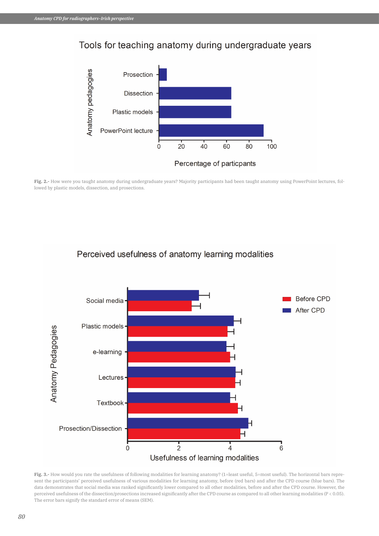# Tools for teaching anatomy during undergraduate years



**Fig. 2.-** How were you taught anatomy during undergraduate years? Majority participants had been taught anatomy using PowerPoint lectures, followed by plastic models, dissection, and prosections.

# Perceived usefulness of anatomy learning modalities



Fig. 3.- How would you rate the usefulness of following modalities for learning anatomy? (1=least useful, 5=most useful). The horizontal bars represent the participants' perceived usefulness of various modalities for learning anatomy, before (red bars) and after the CPD course (blue bars). The data demonstrates that social media was ranked significantly lower compared to all other modalities, before and after the CPD course. However, the perceived usefulness of the dissection/prosections increased significantly after the CPD course as compared to all other learning modalities (P < 0.05). The error bars signify the standard error of means (SEM).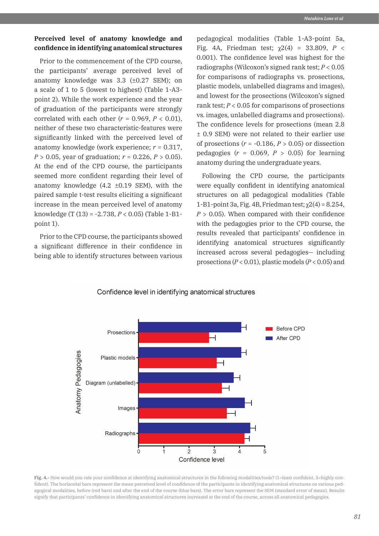# **Perceived level of anatomy knowledge and confidence in identifying anatomical structures**

Prior to the commencement of the CPD course, the participants' average perceived level of anatomy knowledge was  $3.3$  ( $\pm 0.27$  SEM); on a scale of 1 to 5 (lowest to highest) (Table 1-A3 point 2). While the work experience and the year of graduation of the participants were strongly correlated with each other  $(r = 0.969, P < 0.01)$ , neither of these two characteristic-features were significantly linked with the perceived level of anatomy knowledge (work experience; *r* = 0.317, *P* > 0.05, year of graduation; *r* = 0.226, *P* > 0.05). At the end of the CPD course, the participants seemed more confident regarding their level of anatomy knowledge  $(4.2 \pm 0.19 \text{ SEM})$ , with the paired sample t-test results eliciting a significant increase in the mean perceived level of anatomy knowledge (T (13) = -2.738, *P* < 0.05) (Table 1-B1 point 1).

Prior to the CPD course, the participants showed a significant difference in their confidence in being able to identify structures between various

pedagogical modalities (Table 1-A3-point 5a, Fig. 4A, Friedman test; χ2(4) = 33.809, *P* < 0.001). The confidence level was highest for the radiographs (Wilcoxon's signed rank test; *P* < 0.05 for comparisons of radiographs vs. prosections, plastic models, unlabelled diagrams and images), and lowest for the prosections (Wilcoxon's signed rank test;  $P < 0.05$  for comparisons of prosections vs. images, unlabelled diagrams and prosections). The confidence levels for prosections (mean 2.8 ± 0.9 SEM) were not related to their earlier use of prosections  $(r = -0.186, P > 0.05)$  or dissection pedagogies  $(r = 0.069, P > 0.05)$  for learning anatomy during the undergraduate years.

Following the CPD course, the participants were equally confident in identifying anatomical structures on all pedagogical modalities (Table 1-B1-point 3a, Fig. 4B, Friedman test;  $\chi$ 2(4) = 8.254,  $P > 0.05$ ). When compared with their confidence with the pedagogies prior to the CPD course, the results revealed that participants' confidence in identifying anatomical structures significantly increased across several pedagogies— including prosections (*P* < 0.01), plastic models (*P* < 0.05) and



Confidence level in identifying anatomical structures

**Fig. 4.-** How would you rate your confidence at identifying anatomical structures in the following modalities/tools? (1=least confident, 5=highly confident). The horizontal bars represent the mean perceived level of confidence of the participants in identifying anatomical structures on various pedagogical modalities, before (red bars) and after the end of the course (blue bars). The error bars represent the SEM (standard error of mean). Results signify that participants' confidence in identifying anatomical structures increased at the end of the course, across all anatomical pedagogies.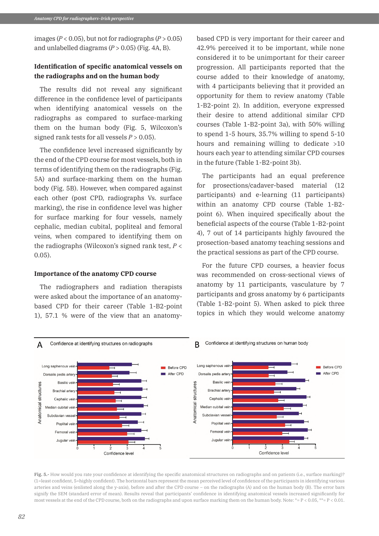images ( $P < 0.05$ ), but not for radiographs ( $P > 0.05$ ) and unlabelled diagrams  $(P > 0.05)$  (Fig. 4A, B).

# **Identification of specific anatomical vessels on the radiographs and on the human body**

The results did not reveal any significant difference in the confidence level of participants when identifying anatomical vessels on the radiographs as compared to surface-marking them on the human body (Fig. 5, Wilcoxon's signed rank tests for all vessels  $P > 0.05$ ).

The confidence level increased significantly by the end of the CPD course for most vessels, both in terms of identifying them on the radiographs (Fig. 5A) and surface-marking them on the human body (Fig. 5B). However, when compared against each other (post CPD, radiographs Vs. surface marking), the rise in confidence level was higher for surface marking for four vessels, namely cephalic, median cubital, popliteal and femoral veins, when compared to identifying them on the radiographs (Wilcoxon's signed rank test, *P* < 0.05).

#### **Importance of the anatomy CPD course**

The radiographers and radiation therapists were asked about the importance of an anatomybased CPD for their career (Table 1-B2-point 1), 57.1 % were of the view that an anatomybased CPD is very important for their career and 42.9% perceived it to be important, while none considered it to be unimportant for their career progression. All participants reported that the course added to their knowledge of anatomy, with 4 participants believing that it provided an opportunity for them to review anatomy (Table 1-B2-point 2). In addition, everyone expressed their desire to attend additional similar CPD courses (Table 1-B2-point 3a), with 50% willing to spend 1-5 hours, 35.7% willing to spend 5-10 hours and remaining willing to dedicate  $>10$ hours each year to attending similar CPD courses in the future (Table 1-B2-point 3b).

The participants had an equal preference for prosections/cadaver-based material (12 participants) and e-learning (11 participants) within an anatomy CPD course (Table 1-B2 point 6). When inquired specifically about the beneficial aspects of the course (Table 1-B2-point 4), 7 out of 14 participants highly favoured the prosection-based anatomy teaching sessions and the practical sessions as part of the CPD course.

For the future CPD courses, a heavier focus was recommended on cross-sectional views of anatomy by 11 participants, vasculature by 7 participants and gross anatomy by 6 participants (Table 1-B2-point 5). When asked to pick three topics in which they would welcome anatomy



**Fig. 5.-** How would you rate your confidence at identifying the specific anatomical structures on radiographs and on patients (i.e., surface marking)? (1=least confident, 5=highly confident). The horizontal bars represent the mean perceived level of confidence of the participants in identifying various arteries and veins (enlisted along the y-axis), before and after the CPD course – on the radiographs (A) and on the human body (B). The error bars signify the SEM (standard error of mean). Results reveal that participants' confidence in identifying anatomical vessels increased significantly for most vessels at the end of the CPD course, both on the radiographs and upon surface marking them on the human body. Note: \*= P < 0.05, \*\*= P < 0.01.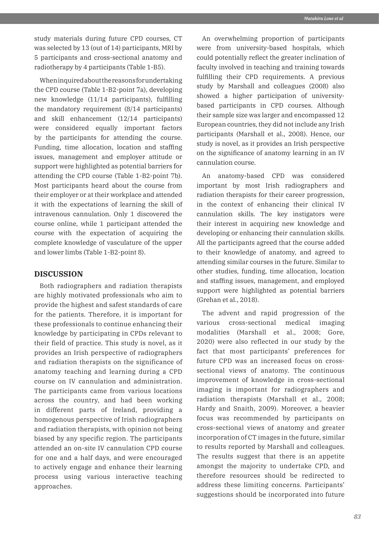study materials during future CPD courses, CT was selected by 13 (out of 14) participants, MRI by 5 participants and cross-sectional anatomy and radiotherapy by 4 participants (Table 1-B5).

When inquired about the reasons for undertaking the CPD course (Table 1-B2-point 7a), developing new knowledge (11/14 participants), fulfilling the mandatory requirement (8/14 participants) and skill enhancement (12/14 participants) were considered equally important factors by the participants for attending the course. Funding, time allocation, location and staffing issues, management and employer attitude or support were highlighted as potential barriers for attending the CPD course (Table 1-B2-point 7b). Most participants heard about the course from their employer or at their workplace and attended it with the expectations of learning the skill of intravenous cannulation. Only 1 discovered the course online, while 1 participant attended the course with the expectation of acquiring the complete knowledge of vasculature of the upper and lower limbs (Table 1-B2-point 8).

# **DISCUSSION**

Both radiographers and radiation therapists are highly motivated professionals who aim to provide the highest and safest standards of care for the patients. Therefore, it is important for these professionals to continue enhancing their knowledge by participating in CPDs relevant to their field of practice. This study is novel, as it provides an Irish perspective of radiographers and radiation therapists on the significance of anatomy teaching and learning during a CPD course on IV cannulation and administration. The participants came from various locations across the country, and had been working in different parts of Ireland, providing a homogenous perspective of Irish radiographers and radiation therapists, with opinion not being biased by any specific region. The participants attended an on-site IV cannulation CPD course for one and a half days, and were encouraged to actively engage and enhance their learning process using various interactive teaching approaches.

An overwhelming proportion of participants were from university-based hospitals, which could potentially reflect the greater inclination of faculty involved in teaching and training towards fulfilling their CPD requirements. A previous study by Marshall and colleagues (2008) also showed a higher participation of universitybased participants in CPD courses. Although their sample size was larger and encompassed 12 European countries, they did not include any Irish participants (Marshall et al., 2008). Hence, our study is novel, as it provides an Irish perspective on the significance of anatomy learning in an IV cannulation course.

An anatomy-based CPD was considered important by most Irish radiographers and radiation therapists for their career progression, in the context of enhancing their clinical IV cannulation skills. The key instigators were their interest in acquiring new knowledge and developing or enhancing their cannulation skills. All the participants agreed that the course added to their knowledge of anatomy, and agreed to attending similar courses in the future. Similar to other studies, funding, time allocation, location and staffing issues, management, and employed support were highlighted as potential barriers (Grehan et al., 2018).

The advent and rapid progression of the various cross-sectional medical imaging modalities (Marshall et al., 2008; Gore, 2020) were also reflected in our study by the fact that most participants' preferences for future CPD was an increased focus on crosssectional views of anatomy. The continuous improvement of knowledge in cross-sectional imaging is important for radiographers and radiation therapists (Marshall et al., 2008; Hardy and Snaith, 2009). Moreover, a heavier focus was recommended by participants on cross-sectional views of anatomy and greater incorporation of CT images in the future, similar to results reported by Marshall and colleagues. The results suggest that there is an appetite amongst the majority to undertake CPD, and therefore resources should be redirected to address these limiting concerns. Participants' suggestions should be incorporated into future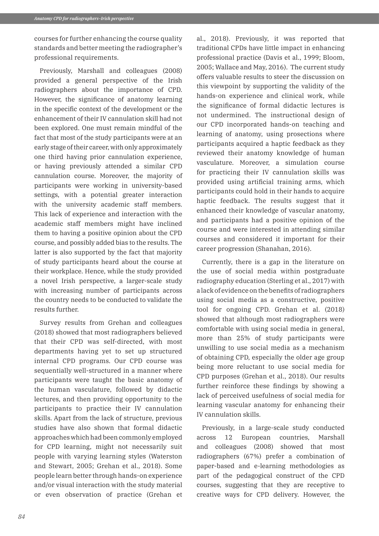courses for further enhancing the course quality standards and better meeting the radiographer's professional requirements.

Previously, Marshall and colleagues (2008) provided a general perspective of the Irish radiographers about the importance of CPD. However, the significance of anatomy learning in the specific context of the development or the enhancement of their IV cannulation skill had not been explored. One must remain mindful of the fact that most of the study participants were at an early stage of their career, with only approximately one third having prior cannulation experience, or having previously attended a similar CPD cannulation course. Moreover, the majority of participants were working in university-based settings, with a potential greater interaction with the university academic staff members. This lack of experience and interaction with the academic staff members might have inclined them to having a positive opinion about the CPD course, and possibly added bias to the results. The latter is also supported by the fact that majority of study participants heard about the course at their workplace. Hence, while the study provided a novel Irish perspective, a larger-scale study with increasing number of participants across the country needs to be conducted to validate the results further.

Survey results from Grehan and colleagues (2018) showed that most radiographers believed that their CPD was self-directed, with most departments having yet to set up structured internal CPD programs. Our CPD course was sequentially well-structured in a manner where participants were taught the basic anatomy of the human vasculature, followed by didactic lectures, and then providing opportunity to the participants to practice their IV cannulation skills. Apart from the lack of structure, previous studies have also shown that formal didactic approaches which had been commonly employed for CPD learning, might not necessarily suit people with varying learning styles (Waterston and Stewart, 2005; Grehan et al., 2018). Some people learn better through hands-on experience and/or visual interaction with the study material or even observation of practice (Grehan et al., 2018). Previously, it was reported that traditional CPDs have little impact in enhancing professional practice (Davis et al., 1999; Bloom, 2005; Wallace and May, 2016). The current study offers valuable results to steer the discussion on this viewpoint by supporting the validity of the hands-on experience and clinical work, while the significance of formal didactic lectures is not undermined. The instructional design of our CPD incorporated hands-on teaching and learning of anatomy, using prosections where participants acquired a haptic feedback as they reviewed their anatomy knowledge of human vasculature. Moreover, a simulation course for practicing their IV cannulation skills was provided using artificial training arms, which participants could hold in their hands to acquire haptic feedback. The results suggest that it enhanced their knowledge of vascular anatomy, and participants had a positive opinion of the course and were interested in attending similar courses and considered it important for their career progression (Shanahan, 2016).

Currently, there is a gap in the literature on the use of social media within postgraduate radiography education (Sterling et al., 2017) with a lack of evidence on the benefits of radiographers using social media as a constructive, positive tool for ongoing CPD. Grehan et al. (2018) showed that although most radiographers were comfortable with using social media in general, more than 25% of study participants were unwilling to use social media as a mechanism of obtaining CPD, especially the older age group being more reluctant to use social media for CPD purposes (Grehan et al., 2018). Our results further reinforce these findings by showing a lack of perceived usefulness of social media for learning vascular anatomy for enhancing their IV cannulation skills.

Previously, in a large-scale study conducted across 12 European countries, Marshall and colleagues (2008) showed that most radiographers (67%) prefer a combination of paper-based and e-learning methodologies as part of the pedagogical construct of the CPD courses, suggesting that they are receptive to creative ways for CPD delivery. However, the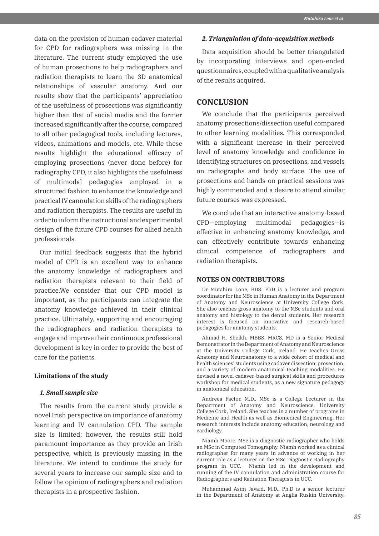data on the provision of human cadaver material for CPD for radiographers was missing in the literature. The current study employed the use of human prosections to help radiographers and radiation therapists to learn the 3D anatomical relationships of vascular anatomy. And our results show that the participants' appreciation of the usefulness of prosections was significantly higher than that of social media and the former increased significantly after the course, compared to all other pedagogical tools, including lectures, videos, animations and models, etc. While these results highlight the educational efficacy of employing prosections (never done before) for radiography CPD, it also highlights the usefulness of multimodal pedagogies employed in a structured fashion to enhance the knowledge and practical IV cannulation skills of the radiographers and radiation therapists. The results are useful in order to inform the instructional and experimental design of the future CPD courses for allied health professionals.

Our initial feedback suggests that the hybrid model of CPD is an excellent way to enhance the anatomy knowledge of radiographers and radiation therapists relevant to their field of practice.We consider that our CPD model is important, as the participants can integrate the anatomy knowledge achieved in their clinical practice. Ultimately, supporting and encouraging the radiographers and radiation therapists to engage and improve their continuous professional development is key in order to provide the best of care for the patients.

#### **Limitations of the study**

#### *1. Small sample size*

The results from the current study provide a novel Irish perspective on importance of anatomy learning and IV cannulation CPD. The sample size is limited; however, the results still hold paramount importance as they provide an Irish perspective, which is previously missing in the literature. We intend to continue the study for several years to increase our sample size and to follow the opinion of radiographers and radiation therapists in a prospective fashion.

#### *2. Triangulation of data-acquisition methods*

Data acquisition should be better triangulated by incorporating interviews and open-ended questionnaires, coupled with a qualitative analysis of the results acquired.

# **CONCLUSION**

We conclude that the participants perceived anatomy prosections/dissection useful compared to other learning modalities. This corresponded with a significant increase in their perceived level of anatomy knowledge and confidence in identifying structures on prosections, and vessels on radiographs and body surface. The use of prosections and hands-on practical sessions was highly commended and a desire to attend similar future courses was expressed.

We conclude that an interactive anatomy-based CPD—employing multimodal pedagogies—is effective in enhancing anatomy knowledge, and can effectively contribute towards enhancing clinical competence of radiographers and radiation therapists.

#### **NOTES ON CONTRIBUTORS**

Dr Mutahira Lone, BDS. PhD is a lecturer and program coordinator for the MSc in Human Anatomy in the Department of Anatomy and Neuroscience at University College Cork. She also teaches gross anatomy to the MSc students and oral anatomy and histology to the dental students. Her research interest is focused on innovative and research-based pedagogies for anatomy students.

Ahmad H. Sheikh, MBBS, MRCS, MD is a Senior Medical Demonstrator in the Department of Anatomy and Neuroscience at the University College Cork, Ireland. He teaches Gross Anatomy and Neuroanatomy to a wide cohort of medical and health sciences' students using cadaver dissection, prosection, and a variety of modern anatomical teaching modalities. He devised a novel cadaver-based surgical skills and procedures workshop for medical students, as a new signature pedagogy in anatomical education.

Andreea Factor, M.D., MSc is a College Lecturer in the Department of Anatomy and Neuroscience, University College Cork, Ireland. She teaches in a number of programs in Medicine and Health as well as Biomedical Engineering. Her research interests include anatomy education, neurology and cardiology.

Niamh Moore, MSc is a diagnostic radiographer who holds an MSc in Computed Tomography. Niamh worked as a clinical radiographer for many years in advance of working in her current role as a lecturer on the MSc Diagnostic Radiography program in UCC. Niamh led in the development and running of the IV cannulation and administration course for Radiographers and Radiation Therapists in UCC.

Muhammad Asim Javaid, M.D., Ph.D is a senior lecturer in the Department of Anatomy at Anglia Ruskin University,